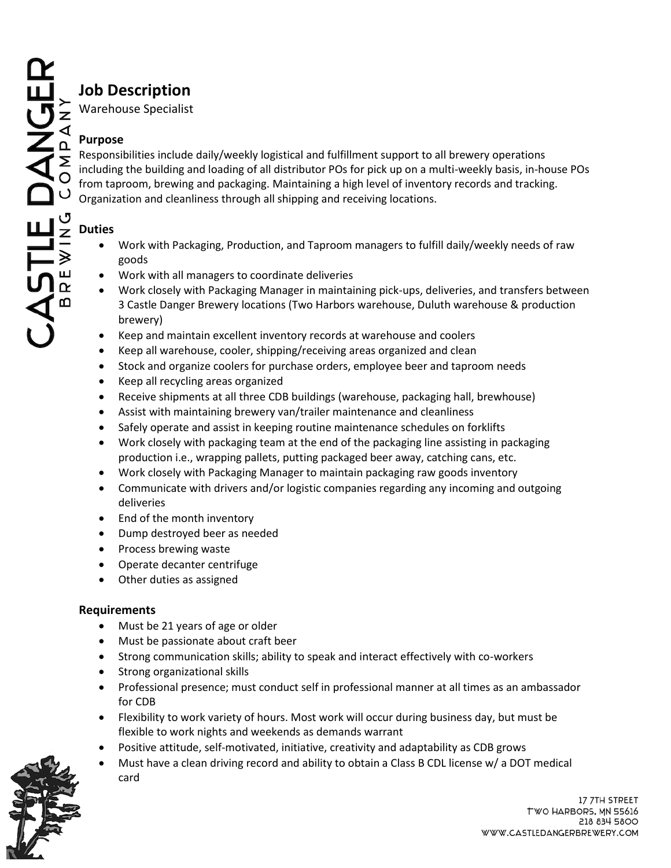# **Job Description**

Warehouse Specialist

### **Purpose**

Responsibilities include daily/weekly logistical and fulfillment support to all brewery operations including the building and loading of all distributor POs for pick up on a multi-weekly basis, in-house POs from taproom, brewing and packaging. Maintaining a high level of inventory records and tracking. Organization and cleanliness through all shipping and receiving locations.

# **Duties**

- Work with Packaging, Production, and Taproom managers to fulfill daily/weekly needs of raw goods
- Work with all managers to coordinate deliveries
- Work closely with Packaging Manager in maintaining pick-ups, deliveries, and transfers between 3 Castle Danger Brewery locations (Two Harbors warehouse, Duluth warehouse & production brewery)
- Keep and maintain excellent inventory records at warehouse and coolers
- Keep all warehouse, cooler, shipping/receiving areas organized and clean
- Stock and organize coolers for purchase orders, employee beer and taproom needs
- Keep all recycling areas organized
- Receive shipments at all three CDB buildings (warehouse, packaging hall, brewhouse)
- Assist with maintaining brewery van/trailer maintenance and cleanliness
- Safely operate and assist in keeping routine maintenance schedules on forklifts
- Work closely with packaging team at the end of the packaging line assisting in packaging production i.e., wrapping pallets, putting packaged beer away, catching cans, etc.
- Work closely with Packaging Manager to maintain packaging raw goods inventory
- Communicate with drivers and/or logistic companies regarding any incoming and outgoing deliveries
- End of the month inventory
- Dump destroyed beer as needed
- Process brewing waste
- Operate decanter centrifuge
- Other duties as assigned

## **Requirements**

- Must be 21 years of age or older
- Must be passionate about craft beer
- Strong communication skills; ability to speak and interact effectively with co-workers
- Strong organizational skills
- Professional presence; must conduct self in professional manner at all times as an ambassador for CDB
- Flexibility to work variety of hours. Most work will occur during business day, but must be flexible to work nights and weekends as demands warrant
- Positive attitude, self-motivated, initiative, creativity and adaptability as CDB grows
- Must have a clean driving record and ability to obtain a Class B CDL license w/ a DOT medical card